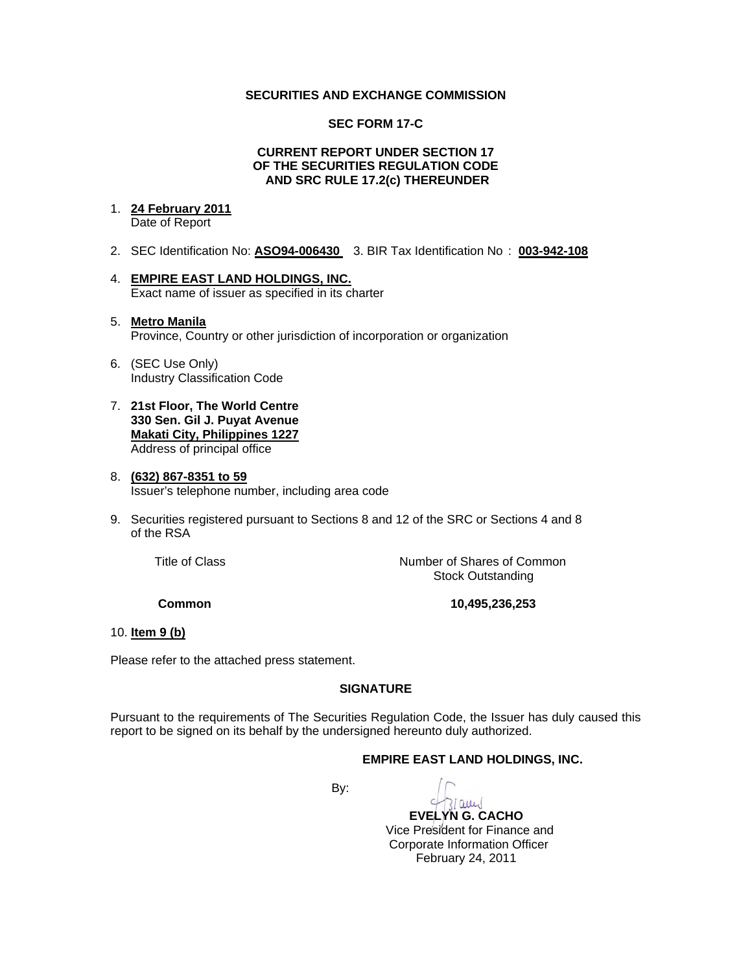## **SECURITIES AND EXCHANGE COMMISSION**

### **SEC FORM 17-C**

### **CURRENT REPORT UNDER SECTION 17 OF THE SECURITIES REGULATION CODE AND SRC RULE 17.2(c) THEREUNDER**

### 1. **24 February 2011** Date of Report

- 2. SEC Identification No: **ASO94-006430** 3. BIR Tax Identification No : **003-942-108**
- 4. **EMPIRE EAST LAND HOLDINGS, INC.** Exact name of issuer as specified in its charter

## 5. **Metro Manila** Province, Country or other jurisdiction of incorporation or organization

- 6. (SEC Use Only) Industry Classification Code
- 7. **21st Floor, The World Centre 330 Sen. Gil J. Puyat Avenue Makati City, Philippines 1227** Address of principal office

### 8. **(632) 867-8351 to 59** Issuer's telephone number, including area code

9. Securities registered pursuant to Sections 8 and 12 of the SRC or Sections 4 and 8 of the RSA

Title of Class *Number of Shares of Common* Stock Outstanding

 **Common 10,495,236,253** 

## 10. **Item 9 (b)**

Please refer to the attached press statement.

# **SIGNATURE**

Pursuant to the requirements of The Securities Regulation Code, the Issuer has duly caused this report to be signed on its behalf by the undersigned hereunto duly authorized.

## **EMPIRE EAST LAND HOLDINGS, INC.**

**By: By:** 

Quel  **EVELYN G. CACHO** Vice President for Finance and Corporate Information Officer February 24, 2011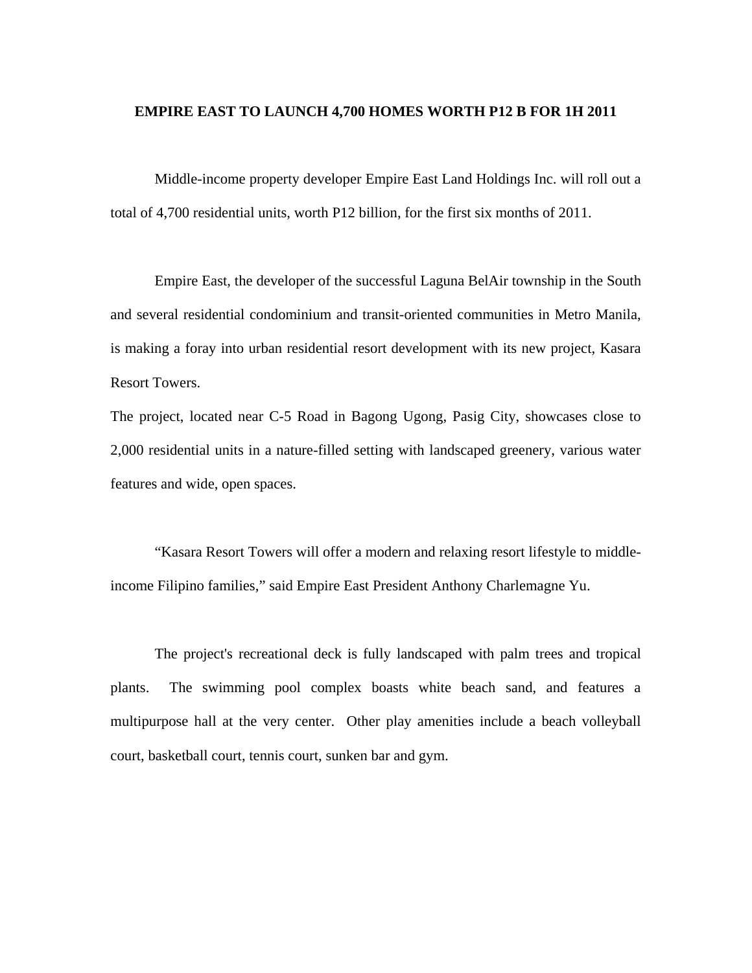## **EMPIRE EAST TO LAUNCH 4,700 HOMES WORTH P12 B FOR 1H 2011**

 Middle-income property developer Empire East Land Holdings Inc. will roll out a total of 4,700 residential units, worth P12 billion, for the first six months of 2011.

 Empire East, the developer of the successful Laguna BelAir township in the South and several residential condominium and transit-oriented communities in Metro Manila, is making a foray into urban residential resort development with its new project, Kasara Resort Towers.

The project, located near C-5 Road in Bagong Ugong, Pasig City, showcases close to 2,000 residential units in a nature-filled setting with landscaped greenery, various water features and wide, open spaces.

 "Kasara Resort Towers will offer a modern and relaxing resort lifestyle to middleincome Filipino families," said Empire East President Anthony Charlemagne Yu.

 The project's recreational deck is fully landscaped with palm trees and tropical plants. The swimming pool complex boasts white beach sand, and features a multipurpose hall at the very center. Other play amenities include a beach volleyball court, basketball court, tennis court, sunken bar and gym.